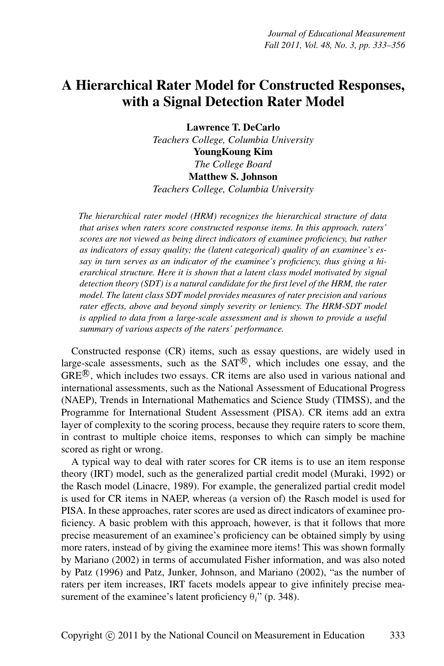# **A Hierarchical Rater Model for Constructed Responses, with a Signal Detection Rater Model**

**Lawrence T. DeCarlo** *Teachers College, Columbia University* **YoungKoung Kim** *The College Board* **Matthew S. Johnson** *Teachers College, Columbia University*

*The hierarchical rater model (HRM) recognizes the hierarchical structure of data that arises when raters score constructed response items. In this approach, raters' scores are not viewed as being direct indicators of examinee proficiency, but rather as indicators of essay quality; the (latent categorical) quality of an examinee's essay in turn serves as an indicator of the examinee's proficiency, thus giving a hierarchical structure. Here it is shown that a latent class model motivated by signal detection theory (SDT) is a natural candidate for the first level of the HRM, the rater model. The latent class SDT model provides measures of rater precision and various rater effects, above and beyond simply severity or leniency. The HRM-SDT model is applied to data from a large-scale assessment and is shown to provide a useful summary of various aspects of the raters' performance.*

Constructed response (CR) items, such as essay questions, are widely used in large-scale assessments, such as the  $SAT^{\circledR}$ , which includes one essay, and the  $GRE^{\textcircled{R}}$ , which includes two essays. CR items are also used in various national and international assessments, such as the National Assessment of Educational Progress (NAEP), Trends in International Mathematics and Science Study (TIMSS), and the Programme for International Student Assessment (PISA). CR items add an extra layer of complexity to the scoring process, because they require raters to score them, in contrast to multiple choice items, responses to which can simply be machine scored as right or wrong.

A typical way to deal with rater scores for CR items is to use an item response theory (IRT) model, such as the generalized partial credit model (Muraki, 1992) or the Rasch model (Linacre, 1989). For example, the generalized partial credit model is used for CR items in NAEP, whereas (a version of) the Rasch model is used for PISA. In these approaches, rater scores are used as direct indicators of examinee proficiency. A basic problem with this approach, however, is that it follows that more precise measurement of an examinee's proficiency can be obtained simply by using more raters, instead of by giving the examinee more items! This was shown formally by Mariano (2002) in terms of accumulated Fisher information, and was also noted by Patz (1996) and Patz, Junker, Johnson, and Mariano (2002), "as the number of raters per item increases, IRT facets models appear to give infinitely precise measurement of the examinee's latent proficiency θ*i*" (p. 348).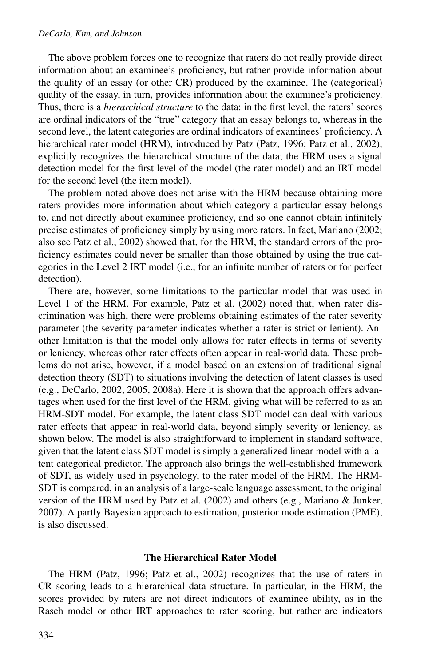#### *DeCarlo, Kim, and Johnson*

The above problem forces one to recognize that raters do not really provide direct information about an examinee's proficiency, but rather provide information about the quality of an essay (or other CR) produced by the examinee. The (categorical) quality of the essay, in turn, provides information about the examinee's proficiency. Thus, there is a *hierarchical structure* to the data: in the first level, the raters' scores are ordinal indicators of the "true" category that an essay belongs to, whereas in the second level, the latent categories are ordinal indicators of examinees' proficiency. A hierarchical rater model (HRM), introduced by Patz (Patz, 1996; Patz et al., 2002), explicitly recognizes the hierarchical structure of the data; the HRM uses a signal detection model for the first level of the model (the rater model) and an IRT model for the second level (the item model).

The problem noted above does not arise with the HRM because obtaining more raters provides more information about which category a particular essay belongs to, and not directly about examinee proficiency, and so one cannot obtain infinitely precise estimates of proficiency simply by using more raters. In fact, Mariano (2002; also see Patz et al., 2002) showed that, for the HRM, the standard errors of the proficiency estimates could never be smaller than those obtained by using the true categories in the Level 2 IRT model (i.e., for an infinite number of raters or for perfect detection).

There are, however, some limitations to the particular model that was used in Level 1 of the HRM. For example, Patz et al. (2002) noted that, when rater discrimination was high, there were problems obtaining estimates of the rater severity parameter (the severity parameter indicates whether a rater is strict or lenient). Another limitation is that the model only allows for rater effects in terms of severity or leniency, whereas other rater effects often appear in real-world data. These problems do not arise, however, if a model based on an extension of traditional signal detection theory (SDT) to situations involving the detection of latent classes is used (e.g., DeCarlo, 2002, 2005, 2008a). Here it is shown that the approach offers advantages when used for the first level of the HRM, giving what will be referred to as an HRM-SDT model. For example, the latent class SDT model can deal with various rater effects that appear in real-world data, beyond simply severity or leniency, as shown below. The model is also straightforward to implement in standard software, given that the latent class SDT model is simply a generalized linear model with a latent categorical predictor. The approach also brings the well-established framework of SDT, as widely used in psychology, to the rater model of the HRM. The HRM-SDT is compared, in an analysis of a large-scale language assessment, to the original version of the HRM used by Patz et al. (2002) and others (e.g., Mariano & Junker, 2007). A partly Bayesian approach to estimation, posterior mode estimation (PME), is also discussed.

#### **The Hierarchical Rater Model**

The HRM (Patz, 1996; Patz et al., 2002) recognizes that the use of raters in CR scoring leads to a hierarchical data structure. In particular, in the HRM, the scores provided by raters are not direct indicators of examinee ability, as in the Rasch model or other IRT approaches to rater scoring, but rather are indicators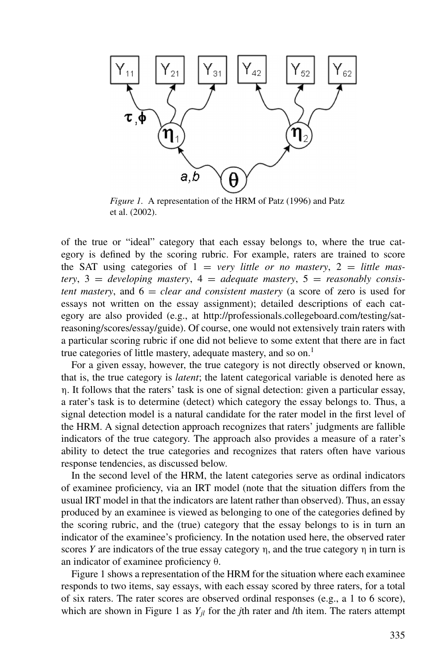

*Figure 1.* A representation of the HRM of Patz (1996) and Patz et al. (2002).

of the true or "ideal" category that each essay belongs to, where the true category is defined by the scoring rubric. For example, raters are trained to score the SAT using categories of  $1 = \text{very little or no mastery}, 2 = \text{little mass}$  $t$ ery,  $3 =$  *developing mastery*,  $4 =$  *adequate mastery*,  $5 =$  *reasonably consistent mastery*, and  $6 = clear$  *and consistent mastery* (a score of zero is used for essays not written on the essay assignment); detailed descriptions of each category are also provided (e.g., at http://professionals.collegeboard.com/testing/satreasoning/scores/essay/guide). Of course, one would not extensively train raters with a particular scoring rubric if one did not believe to some extent that there are in fact true categories of little mastery, adequate mastery, and so on.<sup>1</sup>

For a given essay, however, the true category is not directly observed or known, that is, the true category is *latent*; the latent categorical variable is denoted here as η. It follows that the raters' task is one of signal detection: given a particular essay, a rater's task is to determine (detect) which category the essay belongs to. Thus, a signal detection model is a natural candidate for the rater model in the first level of the HRM. A signal detection approach recognizes that raters' judgments are fallible indicators of the true category. The approach also provides a measure of a rater's ability to detect the true categories and recognizes that raters often have various response tendencies, as discussed below.

In the second level of the HRM, the latent categories serve as ordinal indicators of examinee proficiency, via an IRT model (note that the situation differs from the usual IRT model in that the indicators are latent rather than observed). Thus, an essay produced by an examinee is viewed as belonging to one of the categories defined by the scoring rubric, and the (true) category that the essay belongs to is in turn an indicator of the examinee's proficiency. In the notation used here, the observed rater scores *Y* are indicators of the true essay category  $\eta$ , and the true category  $\eta$  in turn is an indicator of examinee proficiency θ.

Figure 1 shows a representation of the HRM for the situation where each examinee responds to two items, say essays, with each essay scored by three raters, for a total of six raters. The rater scores are observed ordinal responses (e.g., a 1 to 6 score), which are shown in Figure 1 as  $Y_{il}$  for the *j*th rater and *l*th item. The raters attempt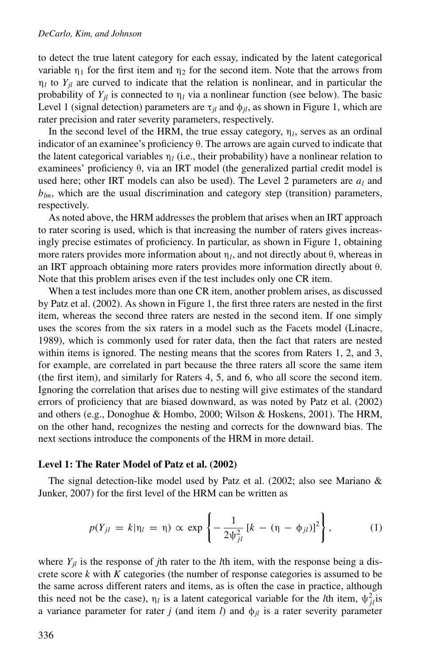#### *DeCarlo, Kim, and Johnson*

to detect the true latent category for each essay, indicated by the latent categorical variable  $\eta_1$  for the first item and  $\eta_2$  for the second item. Note that the arrows from  $\eta_l$  to  $Y_{il}$  are curved to indicate that the relation is nonlinear, and in particular the probability of  $Y_{il}$  is connected to  $\eta_l$  via a nonlinear function (see below). The basic Level 1 (signal detection) parameters are  $\tau_{il}$  and  $\phi_{il}$ , as shown in Figure 1, which are rater precision and rater severity parameters, respectively.

In the second level of the HRM, the true essay category,  $\eta_l$ , serves as an ordinal indicator of an examinee's proficiency θ. The arrows are again curved to indicate that the latent categorical variables  $\eta_l$  (i.e., their probability) have a nonlinear relation to examinees' proficiency θ, via an IRT model (the generalized partial credit model is used here; other IRT models can also be used). The Level 2 parameters are  $a_l$  and  $b_{lm}$ , which are the usual discrimination and category step (transition) parameters, respectively.

As noted above, the HRM addresses the problem that arises when an IRT approach to rater scoring is used, which is that increasing the number of raters gives increasingly precise estimates of proficiency. In particular, as shown in Figure 1, obtaining more raters provides more information about η*l*, and not directly about θ, whereas in an IRT approach obtaining more raters provides more information directly about θ. Note that this problem arises even if the test includes only one CR item.

When a test includes more than one CR item, another problem arises, as discussed by Patz et al. (2002). As shown in Figure 1, the first three raters are nested in the first item, whereas the second three raters are nested in the second item. If one simply uses the scores from the six raters in a model such as the Facets model (Linacre, 1989), which is commonly used for rater data, then the fact that raters are nested within items is ignored. The nesting means that the scores from Raters 1, 2, and 3, for example, are correlated in part because the three raters all score the same item (the first item), and similarly for Raters 4, 5, and 6, who all score the second item. Ignoring the correlation that arises due to nesting will give estimates of the standard errors of proficiency that are biased downward, as was noted by Patz et al. (2002) and others (e.g., Donoghue & Hombo, 2000; Wilson & Hoskens, 2001). The HRM, on the other hand, recognizes the nesting and corrects for the downward bias. The next sections introduce the components of the HRM in more detail.

### **Level 1: The Rater Model of Patz et al. (2002)**

The signal detection-like model used by Patz et al. (2002; also see Mariano  $\&$ Junker, 2007) for the first level of the HRM can be written as

$$
p(Y_{jl} = k|\eta_l = \eta) \propto \exp\left\{-\frac{1}{2\psi_{jl}^2} [k - (\eta - \phi_{jl})]^2\right\},
$$
 (1)

where  $Y_{il}$  is the response of *j*th rater to the *l*th item, with the response being a discrete score *k* with *K* categories (the number of response categories is assumed to be the same across different raters and items, as is often the case in practice, although this need not be the case),  $\eta_l$  is a latent categorical variable for the *l*th item,  $\psi_{jl}^2$  is a variance parameter for rater *j* (and item *l*) and  $\phi_{il}$  is a rater severity parameter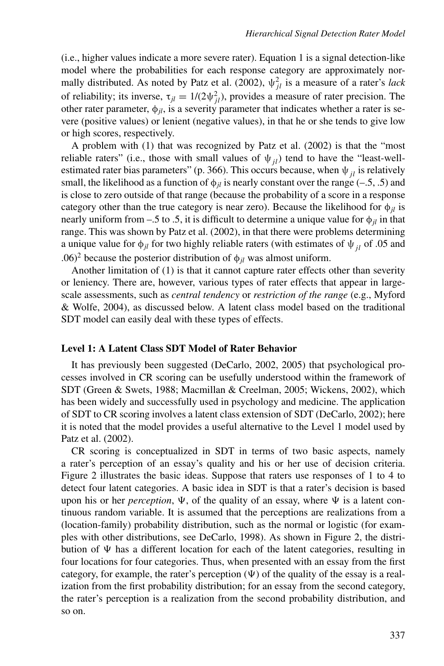(i.e., higher values indicate a more severe rater). Equation 1 is a signal detection-like model where the probabilities for each response category are approximately normally distributed. As noted by Patz et al. (2002),  $\psi_{jl}^2$  is a measure of a rater's *lack* of reliability; its inverse,  $\tau_{jl} = 1/(2\psi_{jl}^2)$ , provides a measure of rater precision. The other rater parameter,  $\phi_{il}$ , is a severity parameter that indicates whether a rater is severe (positive values) or lenient (negative values), in that he or she tends to give low or high scores, respectively.

A problem with (1) that was recognized by Patz et al. (2002) is that the "most reliable raters" (i.e., those with small values of  $\psi_{jl}$ ) tend to have the "least-wellestimated rater bias parameters" (p. 366). This occurs because, when  $\psi_{ij}$  is relatively small, the likelihood as a function of  $\phi_{il}$  is nearly constant over the range (–.5, .5) and is close to zero outside of that range (because the probability of a score in a response category other than the true category is near zero). Because the likelihood for  $\phi_{il}$  is nearly uniform from –.5 to .5, it is difficult to determine a unique value for  $\phi_{jl}$  in that range. This was shown by Patz et al. (2002), in that there were problems determining a unique value for  $\phi_{jl}$  for two highly reliable raters (with estimates of  $\psi_{jl}$  of .05 and .06)<sup>2</sup> because the posterior distribution of  $\phi_{il}$  was almost uniform.

Another limitation of (1) is that it cannot capture rater effects other than severity or leniency. There are, however, various types of rater effects that appear in largescale assessments, such as *central tendency* or *restriction of the range* (e.g., Myford & Wolfe, 2004), as discussed below. A latent class model based on the traditional SDT model can easily deal with these types of effects.

## **Level 1: A Latent Class SDT Model of Rater Behavior**

It has previously been suggested (DeCarlo, 2002, 2005) that psychological processes involved in CR scoring can be usefully understood within the framework of SDT (Green & Swets, 1988; Macmillan & Creelman, 2005; Wickens, 2002), which has been widely and successfully used in psychology and medicine. The application of SDT to CR scoring involves a latent class extension of SDT (DeCarlo, 2002); here it is noted that the model provides a useful alternative to the Level 1 model used by Patz et al. (2002).

CR scoring is conceptualized in SDT in terms of two basic aspects, namely a rater's perception of an essay's quality and his or her use of decision criteria. Figure 2 illustrates the basic ideas. Suppose that raters use responses of 1 to 4 to detect four latent categories. A basic idea in SDT is that a rater's decision is based upon his or her *perception*,  $\Psi$ , of the quality of an essay, where  $\Psi$  is a latent continuous random variable. It is assumed that the perceptions are realizations from a (location-family) probability distribution, such as the normal or logistic (for examples with other distributions, see DeCarlo, 1998). As shown in Figure 2, the distribution of  $\Psi$  has a different location for each of the latent categories, resulting in four locations for four categories. Thus, when presented with an essay from the first category, for example, the rater's perception  $(\Psi)$  of the quality of the essay is a realization from the first probability distribution; for an essay from the second category, the rater's perception is a realization from the second probability distribution, and so on.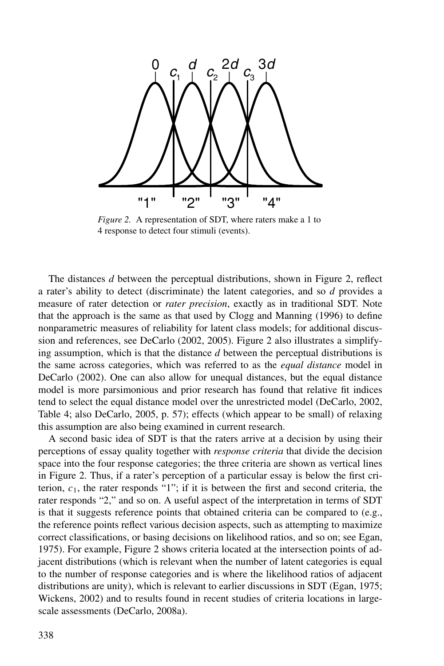

*Figure 2.* A representation of SDT, where raters make a 1 to 4 response to detect four stimuli (events).

The distances *d* between the perceptual distributions, shown in Figure 2, reflect a rater's ability to detect (discriminate) the latent categories, and so *d* provides a measure of rater detection or *rater precision*, exactly as in traditional SDT. Note that the approach is the same as that used by Clogg and Manning (1996) to define nonparametric measures of reliability for latent class models; for additional discussion and references, see DeCarlo (2002, 2005). Figure 2 also illustrates a simplifying assumption, which is that the distance *d* between the perceptual distributions is the same across categories, which was referred to as the *equal distance* model in DeCarlo (2002). One can also allow for unequal distances, but the equal distance model is more parsimonious and prior research has found that relative fit indices tend to select the equal distance model over the unrestricted model (DeCarlo, 2002, Table 4; also DeCarlo, 2005, p. 57); effects (which appear to be small) of relaxing this assumption are also being examined in current research.

A second basic idea of SDT is that the raters arrive at a decision by using their perceptions of essay quality together with *response criteria* that divide the decision space into the four response categories; the three criteria are shown as vertical lines in Figure 2. Thus, if a rater's perception of a particular essay is below the first criterion,  $c_1$ , the rater responds "1"; if it is between the first and second criteria, the rater responds "2," and so on. A useful aspect of the interpretation in terms of SDT is that it suggests reference points that obtained criteria can be compared to (e.g., the reference points reflect various decision aspects, such as attempting to maximize correct classifications, or basing decisions on likelihood ratios, and so on; see Egan, 1975). For example, Figure 2 shows criteria located at the intersection points of adjacent distributions (which is relevant when the number of latent categories is equal to the number of response categories and is where the likelihood ratios of adjacent distributions are unity), which is relevant to earlier discussions in SDT (Egan, 1975; Wickens, 2002) and to results found in recent studies of criteria locations in largescale assessments (DeCarlo, 2008a).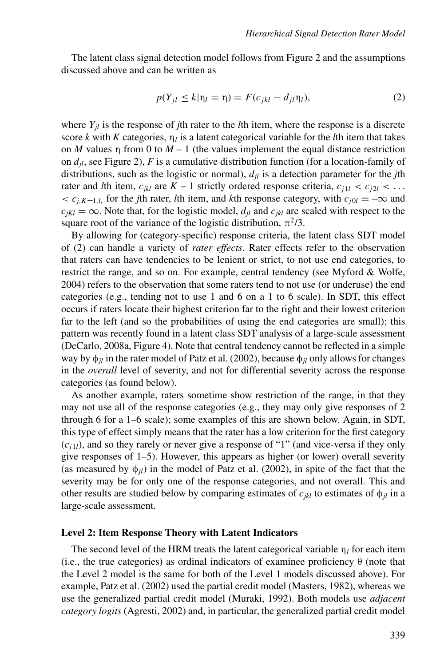The latent class signal detection model follows from Figure 2 and the assumptions discussed above and can be written as

$$
p(Y_{jl} \le k|\eta_l = \eta) = F(c_{jkl} - d_{jl}\eta_l),\tag{2}
$$

where  $Y_{il}$  is the response of *j*th rater to the *l*th item, where the response is a discrete score *k* with *K* categories,  $\eta_l$  is a latent categorical variable for the *l*th item that takes on *M* values  $\eta$  from 0 to *M* – 1 (the values implement the equal distance restriction on *djl*, see Figure 2), *F* is a cumulative distribution function (for a location-family of distributions, such as the logistic or normal),  $d_{il}$  is a detection parameter for the *j*th rater and *l*th item,  $c_{ikl}$  are  $K - 1$  strictly ordered response criteria,  $c_{j1l} < c_{j2l} < \ldots$  $\langle c_{i,K-1,l}\rangle$  for the *j*th rater, *l*th item, and *k*th response category, with  $c_{i0l} = -\infty$  and  $c_{ikl} = \infty$ . Note that, for the logistic model,  $d_{il}$  and  $c_{ikl}$  are scaled with respect to the square root of the variance of the logistic distribution,  $\pi^2/3$ .

By allowing for (category-specific) response criteria, the latent class SDT model of (2) can handle a variety of *rater effects*. Rater effects refer to the observation that raters can have tendencies to be lenient or strict, to not use end categories, to restrict the range, and so on. For example, central tendency (see Myford & Wolfe, 2004) refers to the observation that some raters tend to not use (or underuse) the end categories (e.g., tending not to use 1 and 6 on a 1 to 6 scale). In SDT, this effect occurs if raters locate their highest criterion far to the right and their lowest criterion far to the left (and so the probabilities of using the end categories are small); this pattern was recently found in a latent class SDT analysis of a large-scale assessment (DeCarlo, 2008a, Figure 4). Note that central tendency cannot be reflected in a simple way by φ*jl* in the rater model of Patz et al. (2002), because φ*jl* only allows for changes in the *overall* level of severity, and not for differential severity across the response categories (as found below).

As another example, raters sometime show restriction of the range, in that they may not use all of the response categories (e.g., they may only give responses of 2 through 6 for a 1–6 scale); some examples of this are shown below. Again, in SDT, this type of effect simply means that the rater has a low criterion for the first category  $(c<sub>j1l</sub>)$ , and so they rarely or never give a response of "1" (and vice-versa if they only give responses of 1–5). However, this appears as higher (or lower) overall severity (as measured by  $\phi_{ij}$ ) in the model of Patz et al. (2002), in spite of the fact that the severity may be for only one of the response categories, and not overall. This and other results are studied below by comparing estimates of  $c_{ikl}$  to estimates of  $\phi_{il}$  in a large-scale assessment.

## **Level 2: Item Response Theory with Latent Indicators**

The second level of the HRM treats the latent categorical variable  $\eta_l$  for each item (i.e., the true categories) as ordinal indicators of examinee proficiency  $\theta$  (note that the Level 2 model is the same for both of the Level 1 models discussed above). For example, Patz et al. (2002) used the partial credit model (Masters, 1982), whereas we use the generalized partial credit model (Muraki, 1992). Both models use *adjacent category logits* (Agresti, 2002) and, in particular, the generalized partial credit model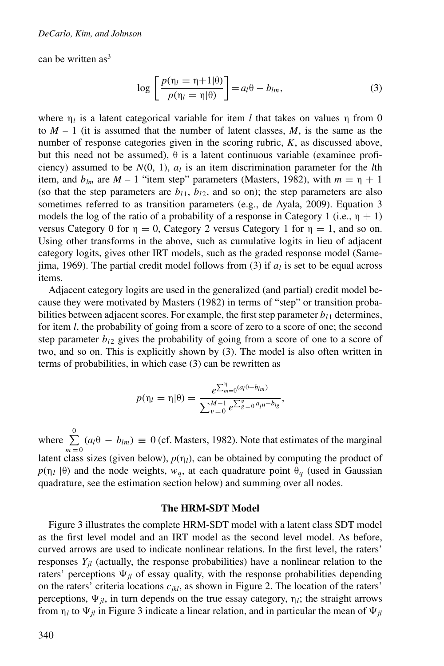can be written  $as<sup>3</sup>$ 

$$
\log\left[\frac{p(\eta_l=\eta+1|\theta)}{p(\eta_l=\eta|\theta)}\right]=a_l\theta-b_{lm},\tag{3}
$$

where  $\eta_l$  is a latent categorical variable for item *l* that takes on values  $\eta$  from 0 to  $M - 1$  (it is assumed that the number of latent classes, M, is the same as the number of response categories given in the scoring rubric, *K*, as discussed above, but this need not be assumed),  $\theta$  is a latent continuous variable (examinee proficiency) assumed to be  $N(0, 1)$ ,  $a<sub>l</sub>$  is an item discrimination parameter for the *l*th item, and  $b_{lm}$  are  $M - 1$  "item step" parameters (Masters, 1982), with  $m = \eta + 1$ (so that the step parameters are  $b_{11}$ ,  $b_{12}$ , and so on); the step parameters are also sometimes referred to as transition parameters (e.g., de Ayala, 2009). Equation 3 models the log of the ratio of a probability of a response in Category 1 (i.e.,  $\eta + 1$ ) versus Category 0 for  $\eta = 0$ , Category 2 versus Category 1 for  $\eta = 1$ , and so on. Using other transforms in the above, such as cumulative logits in lieu of adjacent category logits, gives other IRT models, such as the graded response model (Samejima, 1969). The partial credit model follows from (3) if  $a<sub>l</sub>$  is set to be equal across items.

Adjacent category logits are used in the generalized (and partial) credit model because they were motivated by Masters (1982) in terms of "step" or transition probabilities between adjacent scores. For example, the first step parameter  $b_{l1}$  determines, for item *l*, the probability of going from a score of zero to a score of one; the second step parameter  $b_{12}$  gives the probability of going from a score of one to a score of two, and so on. This is explicitly shown by (3). The model is also often written in terms of probabilities, in which case (3) can be rewritten as

$$
p(\eta_l = \eta | \theta) = \frac{e^{\sum_{m=0}^{\eta} (a_l \theta - b_{lm})}}{\sum_{v=0}^{M-1} e^{\sum_{g=0}^{v} a_l \theta - b_{lg}}},
$$

where  $\sum_{n=1}^{\infty}$  $\sum_{m=0}$   $(a_l \theta - b_{lm}) \equiv 0$  (cf. Masters, 1982). Note that estimates of the marginal latent class sizes (given below),  $p(\eta_l)$ , can be obtained by computing the product of  $p(\eta_l | \theta)$  and the node weights,  $w_q$ , at each quadrature point  $\theta_q$  (used in Gaussian quadrature, see the estimation section below) and summing over all nodes.

#### **The HRM-SDT Model**

Figure 3 illustrates the complete HRM-SDT model with a latent class SDT model as the first level model and an IRT model as the second level model. As before, curved arrows are used to indicate nonlinear relations. In the first level, the raters' responses  $Y_{il}$  (actually, the response probabilities) have a nonlinear relation to the raters' perceptions  $\Psi_{jl}$  of essay quality, with the response probabilities depending on the raters' criteria locations  $c_{ikl}$ , as shown in Figure 2. The location of the raters' perceptions,  $\Psi_{jl}$ , in turn depends on the true essay category,  $\eta_l$ ; the straight arrows from  $\eta_l$  to  $\Psi_{jl}$  in Figure 3 indicate a linear relation, and in particular the mean of  $\Psi_{jl}$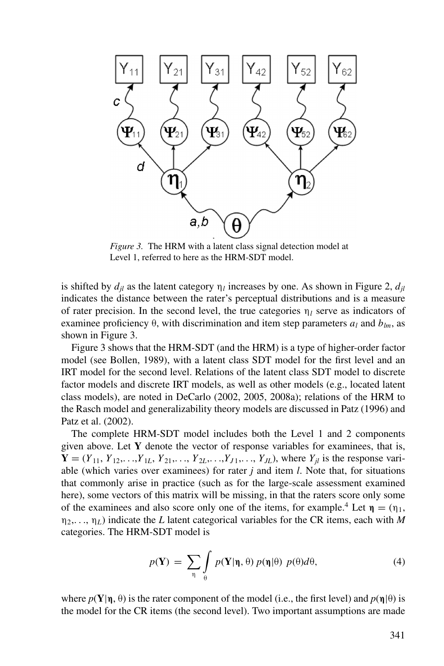

*Figure 3.* The HRM with a latent class signal detection model at Level 1, referred to here as the HRM-SDT model.

is shifted by  $d_{il}$  as the latent category  $\eta_l$  increases by one. As shown in Figure 2,  $d_{il}$ indicates the distance between the rater's perceptual distributions and is a measure of rater precision. In the second level, the true categories  $\eta_l$  serve as indicators of examinee proficiency  $\theta$ , with discrimination and item step parameters  $a_l$  and  $b_{lm}$ , as shown in Figure 3.

Figure 3 shows that the HRM-SDT (and the HRM) is a type of higher-order factor model (see Bollen, 1989), with a latent class SDT model for the first level and an IRT model for the second level. Relations of the latent class SDT model to discrete factor models and discrete IRT models, as well as other models (e.g., located latent class models), are noted in DeCarlo (2002, 2005, 2008a); relations of the HRM to the Rasch model and generalizability theory models are discussed in Patz (1996) and Patz et al. (2002).

The complete HRM-SDT model includes both the Level 1 and 2 components given above. Let **Y** denote the vector of response variables for examinees, that is,  $Y = (Y_{11}, Y_{12}, \ldots, Y_{1L}, Y_{21}, \ldots, Y_{2L}, \ldots, Y_{J1}, \ldots, Y_{JL})$ , where  $Y_{il}$  is the response variable (which varies over examinees) for rater *j* and item *l*. Note that, for situations that commonly arise in practice (such as for the large-scale assessment examined here), some vectors of this matrix will be missing, in that the raters score only some of the examinees and also score only one of the items, for example.<sup>4</sup> Let  $\eta = (\eta_1,$ η2,..., η*L*) indicate the *L* latent categorical variables for the CR items, each with *M* categories. The HRM-SDT model is

$$
p(\mathbf{Y}) = \sum_{\eta} \int_{\theta} p(\mathbf{Y}|\eta, \theta) \, p(\eta|\theta) \, p(\theta) d\theta,\tag{4}
$$

where  $p(\mathbf{Y}|\boldsymbol{\eta}, \theta)$  is the rater component of the model (i.e., the first level) and  $p(\boldsymbol{\eta}|\theta)$  is the model for the CR items (the second level). Two important assumptions are made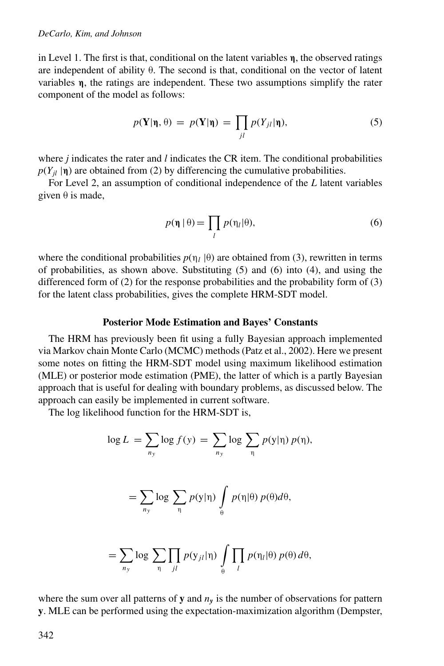in Level 1. The first is that, conditional on the latent variables **η**, the observed ratings are independent of ability θ. The second is that, conditional on the vector of latent variables **η**, the ratings are independent. These two assumptions simplify the rater component of the model as follows:

$$
p(\mathbf{Y}|\mathbf{\eta},\theta) = p(\mathbf{Y}|\mathbf{\eta}) = \prod_{jl} p(Y_{jl}|\mathbf{\eta}),
$$
\n(5)

where *j* indicates the rater and *l* indicates the CR item. The conditional probabilities  $p(Y_{il} | \mathbf{\eta})$  are obtained from (2) by differencing the cumulative probabilities.

For Level 2, an assumption of conditional independence of the *L* latent variables given  $\theta$  is made,

$$
p(\eta | \theta) = \prod_{l} p(\eta_l | \theta), \tag{6}
$$

where the conditional probabilities  $p(\eta_l|\theta)$  are obtained from (3), rewritten in terms of probabilities, as shown above. Substituting (5) and (6) into (4), and using the differenced form of (2) for the response probabilities and the probability form of (3) for the latent class probabilities, gives the complete HRM-SDT model.

#### **Posterior Mode Estimation and Bayes' Constants**

The HRM has previously been fit using a fully Bayesian approach implemented via Markov chain Monte Carlo (MCMC) methods (Patz et al., 2002). Here we present some notes on fitting the HRM-SDT model using maximum likelihood estimation (MLE) or posterior mode estimation (PME), the latter of which is a partly Bayesian approach that is useful for dealing with boundary problems, as discussed below. The approach can easily be implemented in current software.

The log likelihood function for the HRM-SDT is,

$$
\log L = \sum_{n_y} \log f(y) = \sum_{n_y} \log \sum_{n} p(y|\eta) p(\eta),
$$

$$
= \sum_{n_y} \log \sum_{\eta} p(y|\eta) \int_{\theta} p(\eta|\theta) p(\theta) d\theta,
$$

$$
= \sum_{n_y} \log \sum_{\eta} \prod_{jl} p(y_{jl}|\eta) \int_{\theta} \prod_{l} p(\eta_l|\theta) p(\theta) d\theta,
$$

where the sum over all patterns of **y** and  $n<sub>y</sub>$  is the number of observations for pattern **y**. MLE can be performed using the expectation-maximization algorithm (Dempster,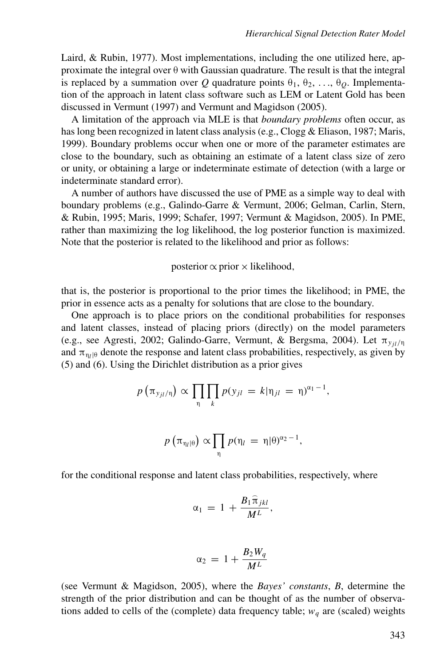Laird, & Rubin, 1977). Most implementations, including the one utilized here, approximate the integral over  $\theta$  with Gaussian quadrature. The result is that the integral is replaced by a summation over *Q* quadrature points  $\theta_1, \theta_2, \ldots, \theta_O$ . Implementation of the approach in latent class software such as LEM or Latent Gold has been discussed in Vermunt (1997) and Vermunt and Magidson (2005).

A limitation of the approach via MLE is that *boundary problems* often occur, as has long been recognized in latent class analysis (e.g., Clogg & Eliason, 1987; Maris, 1999). Boundary problems occur when one or more of the parameter estimates are close to the boundary, such as obtaining an estimate of a latent class size of zero or unity, or obtaining a large or indeterminate estimate of detection (with a large or indeterminate standard error).

A number of authors have discussed the use of PME as a simple way to deal with boundary problems (e.g., Galindo-Garre & Vermunt, 2006; Gelman, Carlin, Stern, & Rubin, 1995; Maris, 1999; Schafer, 1997; Vermunt & Magidson, 2005). In PME, rather than maximizing the log likelihood, the log posterior function is maximized. Note that the posterior is related to the likelihood and prior as follows:

#### posterior  $\propto$  prior  $\times$  likelihood,

that is, the posterior is proportional to the prior times the likelihood; in PME, the prior in essence acts as a penalty for solutions that are close to the boundary.

One approach is to place priors on the conditional probabilities for responses and latent classes, instead of placing priors (directly) on the model parameters (e.g., see Agresti, 2002; Galindo-Garre, Vermunt, & Bergsma, 2004). Let  $\pi_{y_{i l}/η}$ and  $\pi_{\eta_l/\theta}$  denote the response and latent class probabilities, respectively, as given by (5) and (6). Using the Dirichlet distribution as a prior gives

$$
p\left(\pi_{y_{jl}/\eta}\right) \propto \prod_{\eta} \prod_{k} p(y_{jl} = k|\eta_{jl} = \eta)^{\alpha_1 - 1},
$$

$$
p\left(\pi_{\eta_l|\theta}\right) \propto \prod_{\eta} p(\eta_l = \eta|\theta)^{\alpha_2 - 1},
$$

for the conditional response and latent class probabilities, respectively, where

$$
\alpha_1\,=\,1\,+\frac{B_1\widehat{\pi}_{jkl}}{M^L},
$$

$$
\alpha_2 = 1 + \frac{B_2 W_q}{M^L}
$$

(see Vermunt & Magidson, 2005), where the *Bayes' constants*, *B*, determine the strength of the prior distribution and can be thought of as the number of observations added to cells of the (complete) data frequency table;  $w_q$  are (scaled) weights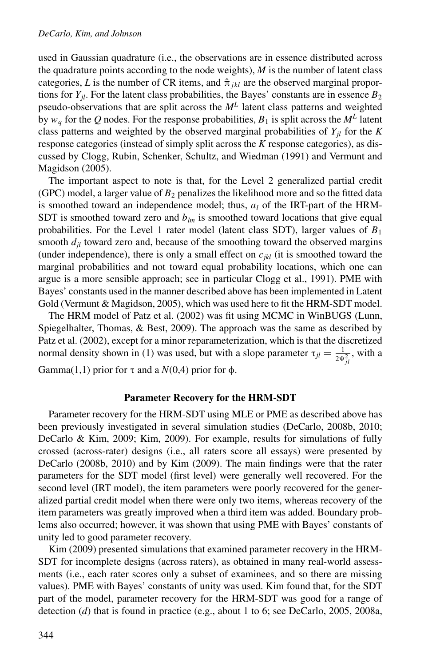used in Gaussian quadrature (i.e., the observations are in essence distributed across the quadrature points according to the node weights),  $M$  is the number of latent class categories, *L* is the number of CR items, and  $\hat{\pi}_{ikl}$  are the observed marginal proportions for  $Y_{il}$ . For the latent class probabilities, the Bayes' constants are in essence  $B_2$ pseudo-observations that are split across the *M<sup>L</sup>* latent class patterns and weighted by  $w_q$  for the Q nodes. For the response probabilities,  $B_1$  is split across the  $M^L$  latent class patterns and weighted by the observed marginal probabilities of  $Y_{il}$  for the  $K$ response categories (instead of simply split across the *K* response categories), as discussed by Clogg, Rubin, Schenker, Schultz, and Wiedman (1991) and Vermunt and Magidson (2005).

The important aspect to note is that, for the Level 2 generalized partial credit (GPC) model, a larger value of  $B_2$  penalizes the likelihood more and so the fitted data is smoothed toward an independence model; thus,  $a<sub>l</sub>$  of the IRT-part of the HRM-SDT is smoothed toward zero and  $b_{lm}$  is smoothed toward locations that give equal probabilities. For the Level 1 rater model (latent class SDT), larger values of *B*<sup>1</sup> smooth  $d_{il}$  toward zero and, because of the smoothing toward the observed margins (under independence), there is only a small effect on  $c_{ikl}$  (it is smoothed toward the marginal probabilities and not toward equal probability locations, which one can argue is a more sensible approach; see in particular Clogg et al., 1991). PME with Bayes' constants used in the manner described above has been implemented in Latent Gold (Vermunt & Magidson, 2005), which was used here to fit the HRM-SDT model.

The HRM model of Patz et al. (2002) was fit using MCMC in WinBUGS (Lunn, Spiegelhalter, Thomas, & Best, 2009). The approach was the same as described by Patz et al. (2002), except for a minor reparameterization, which is that the discretized normal density shown in (1) was used, but with a slope parameter  $\tau_{jl} = \frac{1}{2\Psi_{jl}^2}$ , with a Gamma(1,1) prior for  $\tau$  and a  $N(0,4)$  prior for  $\phi$ .

### **Parameter Recovery for the HRM-SDT**

Parameter recovery for the HRM-SDT using MLE or PME as described above has been previously investigated in several simulation studies (DeCarlo, 2008b, 2010; DeCarlo & Kim, 2009; Kim, 2009). For example, results for simulations of fully crossed (across-rater) designs (i.e., all raters score all essays) were presented by DeCarlo (2008b, 2010) and by Kim (2009). The main findings were that the rater parameters for the SDT model (first level) were generally well recovered. For the second level (IRT model), the item parameters were poorly recovered for the generalized partial credit model when there were only two items, whereas recovery of the item parameters was greatly improved when a third item was added. Boundary problems also occurred; however, it was shown that using PME with Bayes' constants of unity led to good parameter recovery.

Kim (2009) presented simulations that examined parameter recovery in the HRM-SDT for incomplete designs (across raters), as obtained in many real-world assessments (i.e., each rater scores only a subset of examinees, and so there are missing values). PME with Bayes' constants of unity was used. Kim found that, for the SDT part of the model, parameter recovery for the HRM-SDT was good for a range of detection (*d*) that is found in practice (e.g., about 1 to 6; see DeCarlo, 2005, 2008a,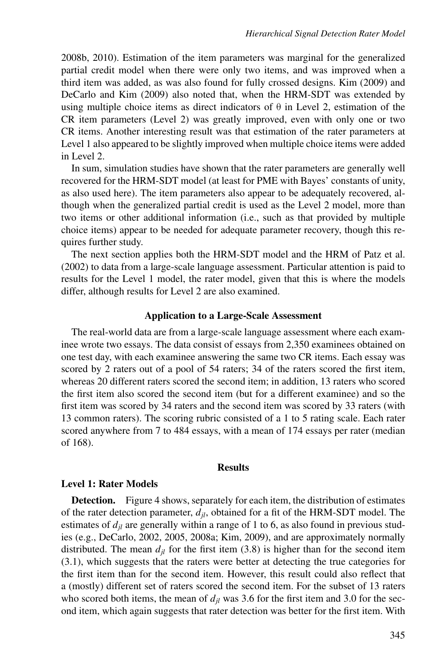2008b, 2010). Estimation of the item parameters was marginal for the generalized partial credit model when there were only two items, and was improved when a third item was added, as was also found for fully crossed designs. Kim (2009) and DeCarlo and Kim (2009) also noted that, when the HRM-SDT was extended by using multiple choice items as direct indicators of  $\theta$  in Level 2, estimation of the CR item parameters (Level 2) was greatly improved, even with only one or two CR items. Another interesting result was that estimation of the rater parameters at Level 1 also appeared to be slightly improved when multiple choice items were added in Level 2.

In sum, simulation studies have shown that the rater parameters are generally well recovered for the HRM-SDT model (at least for PME with Bayes' constants of unity, as also used here). The item parameters also appear to be adequately recovered, although when the generalized partial credit is used as the Level 2 model, more than two items or other additional information (i.e., such as that provided by multiple choice items) appear to be needed for adequate parameter recovery, though this requires further study.

The next section applies both the HRM-SDT model and the HRM of Patz et al. (2002) to data from a large-scale language assessment. Particular attention is paid to results for the Level 1 model, the rater model, given that this is where the models differ, although results for Level 2 are also examined.

## **Application to a Large-Scale Assessment**

The real-world data are from a large-scale language assessment where each examinee wrote two essays. The data consist of essays from 2,350 examinees obtained on one test day, with each examinee answering the same two CR items. Each essay was scored by 2 raters out of a pool of 54 raters; 34 of the raters scored the first item, whereas 20 different raters scored the second item; in addition, 13 raters who scored the first item also scored the second item (but for a different examinee) and so the first item was scored by 34 raters and the second item was scored by 33 raters (with 13 common raters). The scoring rubric consisted of a 1 to 5 rating scale. Each rater scored anywhere from 7 to 484 essays, with a mean of 174 essays per rater (median of 168).

### **Results**

## **Level 1: Rater Models**

**Detection.** Figure 4 shows, separately for each item, the distribution of estimates of the rater detection parameter,  $d_{il}$ , obtained for a fit of the HRM-SDT model. The estimates of  $d_{il}$  are generally within a range of 1 to 6, as also found in previous studies (e.g., DeCarlo, 2002, 2005, 2008a; Kim, 2009), and are approximately normally distributed. The mean  $d_{jl}$  for the first item (3.8) is higher than for the second item (3.1), which suggests that the raters were better at detecting the true categories for the first item than for the second item. However, this result could also reflect that a (mostly) different set of raters scored the second item. For the subset of 13 raters who scored both items, the mean of  $d_{jl}$  was 3.6 for the first item and 3.0 for the second item, which again suggests that rater detection was better for the first item. With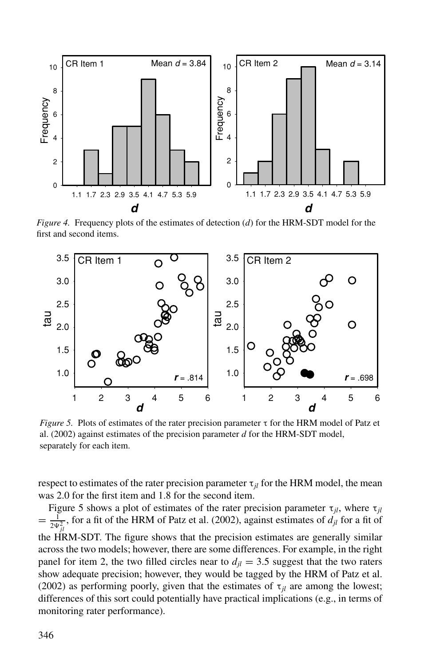

*Figure 4.* Frequency plots of the estimates of detection (*d*) for the HRM-SDT model for the first and second items.



*Figure 5.* Plots of estimates of the rater precision parameter τ for the HRM model of Patz et al. (2002) against estimates of the precision parameter *d* for the HRM-SDT model, separately for each item.

respect to estimates of the rater precision parameter  $\tau_{il}$  for the HRM model, the mean was 2.0 for the first item and 1.8 for the second item.

Figure 5 shows a plot of estimates of the rater precision parameter  $\tau_{jl}$ , where  $\tau_{jl}$  $= \frac{1}{2\Psi_{jl}^2}$ , for a fit of the HRM of Patz et al. (2002), against estimates of  $d_{jl}$  for a fit of the HRM-SDT. The figure shows that the precision estimates are generally similar across the two models; however, there are some differences. For example, in the right panel for item 2, the two filled circles near to  $d_{il} = 3.5$  suggest that the two raters show adequate precision; however, they would be tagged by the HRM of Patz et al. (2002) as performing poorly, given that the estimates of  $\tau_{il}$  are among the lowest; differences of this sort could potentially have practical implications (e.g., in terms of monitoring rater performance).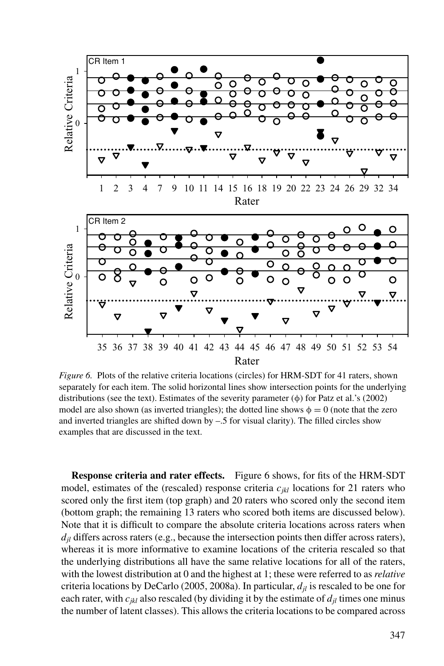

*Figure 6.* Plots of the relative criteria locations (circles) for HRM-SDT for 41 raters, shown separately for each item. The solid horizontal lines show intersection points for the underlying distributions (see the text). Estimates of the severity parameter  $(\phi)$  for Patz et al.'s (2002) model are also shown (as inverted triangles); the dotted line shows  $\phi = 0$  (note that the zero and inverted triangles are shifted down by  $-.5$  for visual clarity). The filled circles show examples that are discussed in the text.

**Response criteria and rater effects.** Figure 6 shows, for fits of the HRM-SDT model, estimates of the (rescaled) response criteria  $c_{ikl}$  locations for 21 raters who scored only the first item (top graph) and 20 raters who scored only the second item (bottom graph; the remaining 13 raters who scored both items are discussed below). Note that it is difficult to compare the absolute criteria locations across raters when  $d_{il}$  differs across raters (e.g., because the intersection points then differ across raters), whereas it is more informative to examine locations of the criteria rescaled so that the underlying distributions all have the same relative locations for all of the raters, with the lowest distribution at 0 and the highest at 1; these were referred to as *relative* criteria locations by DeCarlo (2005, 2008a). In particular,  $d_{il}$  is rescaled to be one for each rater, with  $c_{ikl}$  also rescaled (by dividing it by the estimate of  $d_{jl}$  times one minus the number of latent classes). This allows the criteria locations to be compared across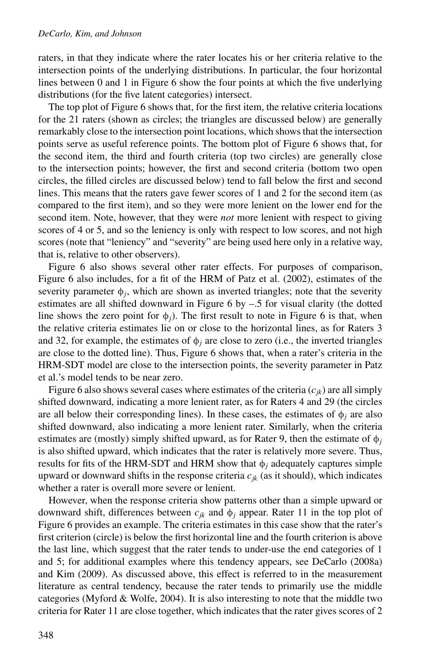#### *DeCarlo, Kim, and Johnson*

raters, in that they indicate where the rater locates his or her criteria relative to the intersection points of the underlying distributions. In particular, the four horizontal lines between 0 and 1 in Figure 6 show the four points at which the five underlying distributions (for the five latent categories) intersect.

The top plot of Figure 6 shows that, for the first item, the relative criteria locations for the 21 raters (shown as circles; the triangles are discussed below) are generally remarkably close to the intersection point locations, which shows that the intersection points serve as useful reference points. The bottom plot of Figure 6 shows that, for the second item, the third and fourth criteria (top two circles) are generally close to the intersection points; however, the first and second criteria (bottom two open circles, the filled circles are discussed below) tend to fall below the first and second lines. This means that the raters gave fewer scores of 1 and 2 for the second item (as compared to the first item), and so they were more lenient on the lower end for the second item. Note, however, that they were *not* more lenient with respect to giving scores of 4 or 5, and so the leniency is only with respect to low scores, and not high scores (note that "leniency" and "severity" are being used here only in a relative way, that is, relative to other observers).

Figure 6 also shows several other rater effects. For purposes of comparison, Figure 6 also includes, for a fit of the HRM of Patz et al. (2002), estimates of the severity parameter  $\phi_i$ , which are shown as inverted triangles; note that the severity estimates are all shifted downward in Figure 6 by –.5 for visual clarity (the dotted line shows the zero point for  $\phi_i$ ). The first result to note in Figure 6 is that, when the relative criteria estimates lie on or close to the horizontal lines, as for Raters 3 and 32, for example, the estimates of  $\phi_i$  are close to zero (i.e., the inverted triangles are close to the dotted line). Thus, Figure 6 shows that, when a rater's criteria in the HRM-SDT model are close to the intersection points, the severity parameter in Patz et al.'s model tends to be near zero.

Figure 6 also shows several cases where estimates of the criteria  $(c_{ik})$  are all simply shifted downward, indicating a more lenient rater, as for Raters 4 and 29 (the circles are all below their corresponding lines). In these cases, the estimates of  $\phi_j$  are also shifted downward, also indicating a more lenient rater. Similarly, when the criteria estimates are (mostly) simply shifted upward, as for Rater 9, then the estimate of  $\phi_i$ is also shifted upward, which indicates that the rater is relatively more severe. Thus, results for fits of the HRM-SDT and HRM show that  $\phi_i$  adequately captures simple upward or downward shifts in the response criteria  $c_{ik}$  (as it should), which indicates whether a rater is overall more severe or lenient.

However, when the response criteria show patterns other than a simple upward or downward shift, differences between  $c_{ik}$  and  $\phi_i$  appear. Rater 11 in the top plot of Figure 6 provides an example. The criteria estimates in this case show that the rater's first criterion (circle) is below the first horizontal line and the fourth criterion is above the last line, which suggest that the rater tends to under-use the end categories of 1 and 5; for additional examples where this tendency appears, see DeCarlo (2008a) and Kim (2009). As discussed above, this effect is referred to in the measurement literature as central tendency, because the rater tends to primarily use the middle categories (Myford & Wolfe, 2004). It is also interesting to note that the middle two criteria for Rater 11 are close together, which indicates that the rater gives scores of 2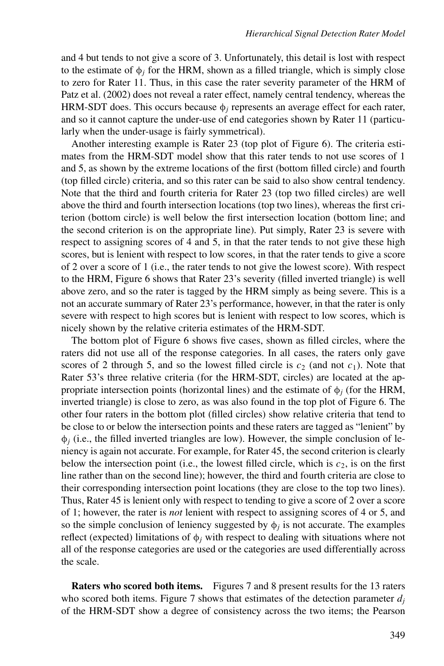and 4 but tends to not give a score of 3. Unfortunately, this detail is lost with respect to the estimate of  $\phi_i$  for the HRM, shown as a filled triangle, which is simply close to zero for Rater 11. Thus, in this case the rater severity parameter of the HRM of Patz et al. (2002) does not reveal a rater effect, namely central tendency, whereas the HRM-SDT does. This occurs because  $\phi_i$  represents an average effect for each rater, and so it cannot capture the under-use of end categories shown by Rater 11 (particularly when the under-usage is fairly symmetrical).

Another interesting example is Rater 23 (top plot of Figure 6). The criteria estimates from the HRM-SDT model show that this rater tends to not use scores of 1 and 5, as shown by the extreme locations of the first (bottom filled circle) and fourth (top filled circle) criteria, and so this rater can be said to also show central tendency. Note that the third and fourth criteria for Rater 23 (top two filled circles) are well above the third and fourth intersection locations (top two lines), whereas the first criterion (bottom circle) is well below the first intersection location (bottom line; and the second criterion is on the appropriate line). Put simply, Rater 23 is severe with respect to assigning scores of 4 and 5, in that the rater tends to not give these high scores, but is lenient with respect to low scores, in that the rater tends to give a score of 2 over a score of 1 (i.e., the rater tends to not give the lowest score). With respect to the HRM, Figure 6 shows that Rater 23's severity (filled inverted triangle) is well above zero, and so the rater is tagged by the HRM simply as being severe. This is a not an accurate summary of Rater 23's performance, however, in that the rater is only severe with respect to high scores but is lenient with respect to low scores, which is nicely shown by the relative criteria estimates of the HRM-SDT.

The bottom plot of Figure 6 shows five cases, shown as filled circles, where the raters did not use all of the response categories. In all cases, the raters only gave scores of 2 through 5, and so the lowest filled circle is  $c_2$  (and not  $c_1$ ). Note that Rater 53's three relative criteria (for the HRM-SDT, circles) are located at the appropriate intersection points (horizontal lines) and the estimate of  $\phi_i$  (for the HRM, inverted triangle) is close to zero, as was also found in the top plot of Figure 6. The other four raters in the bottom plot (filled circles) show relative criteria that tend to be close to or below the intersection points and these raters are tagged as "lenient" by  $\phi$ *j* (i.e., the filled inverted triangles are low). However, the simple conclusion of leniency is again not accurate. For example, for Rater 45, the second criterion is clearly below the intersection point (i.e., the lowest filled circle, which is  $c_2$ , is on the first line rather than on the second line); however, the third and fourth criteria are close to their corresponding intersection point locations (they are close to the top two lines). Thus, Rater 45 is lenient only with respect to tending to give a score of 2 over a score of 1; however, the rater is *not* lenient with respect to assigning scores of 4 or 5, and so the simple conclusion of leniency suggested by  $\phi_i$  is not accurate. The examples reflect (expected) limitations of  $\phi_j$  with respect to dealing with situations where not all of the response categories are used or the categories are used differentially across the scale.

**Raters who scored both items.** Figures 7 and 8 present results for the 13 raters who scored both items. Figure 7 shows that estimates of the detection parameter  $d_i$ of the HRM-SDT show a degree of consistency across the two items; the Pearson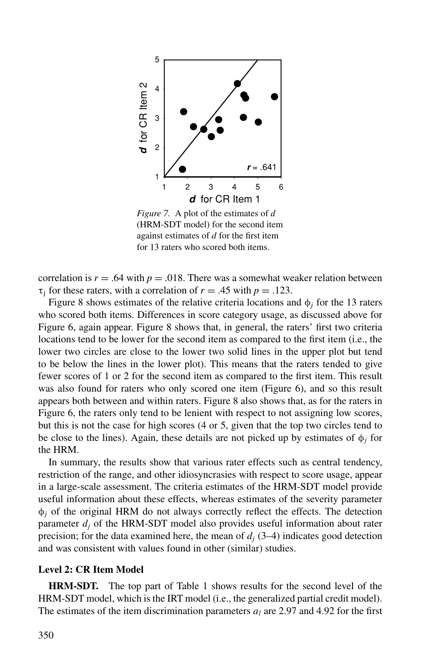

*Figure 7.* A plot of the estimates of *d* (HRM-SDT model) for the second item against estimates of *d* for the first item for 13 raters who scored both items.

correlation is  $r = .64$  with  $p = .018$ . There was a somewhat weaker relation between  $\tau_i$  for these raters, with a correlation of  $r = .45$  with  $p = .123$ .

Figure 8 shows estimates of the relative criteria locations and  $\phi_i$  for the 13 raters who scored both items. Differences in score category usage, as discussed above for Figure 6, again appear. Figure 8 shows that, in general, the raters' first two criteria locations tend to be lower for the second item as compared to the first item (i.e., the lower two circles are close to the lower two solid lines in the upper plot but tend to be below the lines in the lower plot). This means that the raters tended to give fewer scores of 1 or 2 for the second item as compared to the first item. This result was also found for raters who only scored one item (Figure 6), and so this result appears both between and within raters. Figure 8 also shows that, as for the raters in Figure 6, the raters only tend to be lenient with respect to not assigning low scores, but this is not the case for high scores (4 or 5, given that the top two circles tend to be close to the lines). Again, these details are not picked up by estimates of  $\phi_i$  for the HRM.

In summary, the results show that various rater effects such as central tendency, restriction of the range, and other idiosyncrasies with respect to score usage, appear in a large-scale assessment. The criteria estimates of the HRM-SDT model provide useful information about these effects, whereas estimates of the severity parameter  $\phi$ *j* of the original HRM do not always correctly reflect the effects. The detection parameter *dj* of the HRM-SDT model also provides useful information about rater precision; for the data examined here, the mean of  $d_i$  (3–4) indicates good detection and was consistent with values found in other (similar) studies.

## **Level 2: CR Item Model**

**HRM-SDT.** The top part of Table 1 shows results for the second level of the HRM-SDT model, which is the IRT model (i.e., the generalized partial credit model). The estimates of the item discrimination parameters  $a_l$  are 2.97 and 4.92 for the first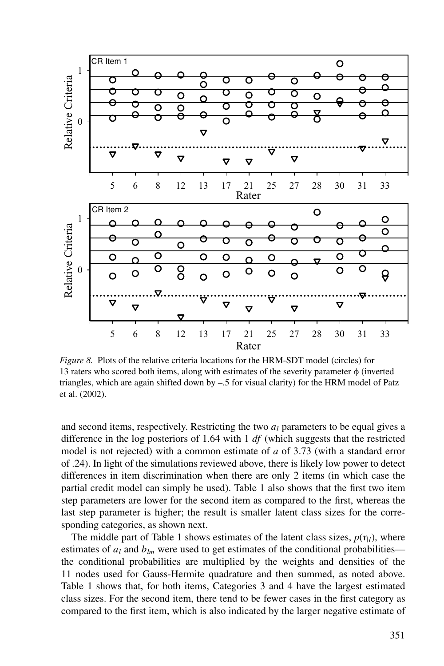

*Figure 8.* Plots of the relative criteria locations for the HRM-SDT model (circles) for 13 raters who scored both items, along with estimates of the severity parameter  $\phi$  (inverted triangles, which are again shifted down by –.5 for visual clarity) for the HRM model of Patz et al. (2002).

and second items, respectively. Restricting the two  $a_l$  parameters to be equal gives a difference in the log posteriors of 1.64 with 1 *df* (which suggests that the restricted model is not rejected) with a common estimate of *a* of 3.73 (with a standard error of .24). In light of the simulations reviewed above, there is likely low power to detect differences in item discrimination when there are only 2 items (in which case the partial credit model can simply be used). Table 1 also shows that the first two item step parameters are lower for the second item as compared to the first, whereas the last step parameter is higher; the result is smaller latent class sizes for the corresponding categories, as shown next.

The middle part of Table 1 shows estimates of the latent class sizes,  $p(\eta_l)$ , where estimates of  $a_l$  and  $b_{lm}$  were used to get estimates of the conditional probabilities the conditional probabilities are multiplied by the weights and densities of the 11 nodes used for Gauss-Hermite quadrature and then summed, as noted above. Table 1 shows that, for both items, Categories 3 and 4 have the largest estimated class sizes. For the second item, there tend to be fewer cases in the first category as compared to the first item, which is also indicated by the larger negative estimate of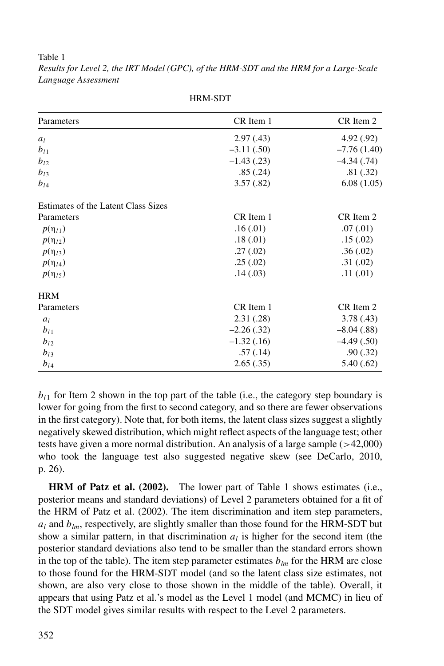| <b>HRM-SDT</b>                      |               |               |
|-------------------------------------|---------------|---------------|
| Parameters                          | CR Item 1     | CR Item 2     |
| $a_l$                               | 2.97(0.43)    | 4.92 (.92)    |
| $b_{l1}$                            | $-3.11(.50)$  | $-7.76(1.40)$ |
| $b_{l2}$                            | $-1.43$ (.23) | $-4.34(0.74)$ |
| $b_{13}$                            | .85(.24)      | .81(.32)      |
| $b_{l4}$                            | 3.57(.82)     | 6.08(1.05)    |
| Estimates of the Latent Class Sizes |               |               |
| Parameters                          | CR Item 1     | CR Item 2     |
| $p(\eta_{l1})$                      | .16(0.01)     | .07(0.01)     |
| $p(\eta_{l2})$                      | .18(0.01)     | .15(.02)      |
| $p(\eta_{13})$                      | .27(0.02)     | .36(.02)      |
| $p(\eta_{l4})$                      | .25(.02)      | .31(.02)      |
| $p(\eta_{15})$                      | .14(03)       | .11(.01)      |
| <b>HRM</b>                          |               |               |
| Parameters                          | CR Item 1     | CR Item 2     |
| $a_l$                               | 2.31(.28)     | 3.78(0.43)    |
| $b_{l1}$                            | $-2.26(.32)$  | $-8.04(.88)$  |
| $b_{12}$                            | $-1.32(0.16)$ | $-4.49(0.50)$ |
| $b_{13}$                            | .57(.14)      | .90(.32)      |
| $b_{l4}$                            | 2.65(.35)     | 5.40(0.62)    |

*Results for Level 2, the IRT Model (GPC), of the HRM-SDT and the HRM for a Large-Scale Language Assessment*

 $b_{l1}$  for Item 2 shown in the top part of the table (i.e., the category step boundary is lower for going from the first to second category, and so there are fewer observations in the first category). Note that, for both items, the latent class sizes suggest a slightly negatively skewed distribution, which might reflect aspects of the language test; other tests have given a more normal distribution. An analysis of a large sample (>42,000) who took the language test also suggested negative skew (see DeCarlo, 2010, p. 26).

**HRM of Patz et al. (2002).** The lower part of Table 1 shows estimates (i.e., posterior means and standard deviations) of Level 2 parameters obtained for a fit of the HRM of Patz et al. (2002). The item discrimination and item step parameters,  $a_l$  and  $b_{lm}$ , respectively, are slightly smaller than those found for the HRM-SDT but show a similar pattern, in that discrimination  $a_l$  is higher for the second item (the posterior standard deviations also tend to be smaller than the standard errors shown in the top of the table). The item step parameter estimates  $b_{lm}$  for the HRM are close to those found for the HRM-SDT model (and so the latent class size estimates, not shown, are also very close to those shown in the middle of the table). Overall, it appears that using Patz et al.'s model as the Level 1 model (and MCMC) in lieu of the SDT model gives similar results with respect to the Level 2 parameters.

Table 1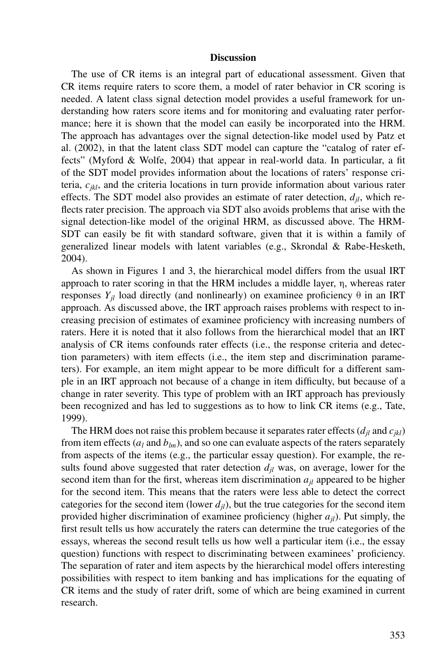#### **Discussion**

The use of CR items is an integral part of educational assessment. Given that CR items require raters to score them, a model of rater behavior in CR scoring is needed. A latent class signal detection model provides a useful framework for understanding how raters score items and for monitoring and evaluating rater performance; here it is shown that the model can easily be incorporated into the HRM. The approach has advantages over the signal detection-like model used by Patz et al. (2002), in that the latent class SDT model can capture the "catalog of rater effects" (Myford & Wolfe, 2004) that appear in real-world data. In particular, a fit of the SDT model provides information about the locations of raters' response criteria, *cjkl*, and the criteria locations in turn provide information about various rater effects. The SDT model also provides an estimate of rater detection,  $d_{il}$ , which reflects rater precision. The approach via SDT also avoids problems that arise with the signal detection-like model of the original HRM, as discussed above. The HRM-SDT can easily be fit with standard software, given that it is within a family of generalized linear models with latent variables (e.g., Skrondal & Rabe-Hesketh, 2004).

As shown in Figures 1 and 3, the hierarchical model differs from the usual IRT approach to rater scoring in that the HRM includes a middle layer, η, whereas rater responses  $Y_{jl}$  load directly (and nonlinearly) on examinee proficiency  $\theta$  in an IRT approach. As discussed above, the IRT approach raises problems with respect to increasing precision of estimates of examinee proficiency with increasing numbers of raters. Here it is noted that it also follows from the hierarchical model that an IRT analysis of CR items confounds rater effects (i.e., the response criteria and detection parameters) with item effects (i.e., the item step and discrimination parameters). For example, an item might appear to be more difficult for a different sample in an IRT approach not because of a change in item difficulty, but because of a change in rater severity. This type of problem with an IRT approach has previously been recognized and has led to suggestions as to how to link CR items (e.g., Tate, 1999).

The HRM does not raise this problem because it separates rater effects  $(d_{il}$  and  $c_{ikl})$ from item effects ( $a_l$  and  $b_{lm}$ ), and so one can evaluate aspects of the raters separately from aspects of the items (e.g., the particular essay question). For example, the results found above suggested that rater detection  $d_{il}$  was, on average, lower for the second item than for the first, whereas item discrimination  $a_{jl}$  appeared to be higher for the second item. This means that the raters were less able to detect the correct categories for the second item (lower  $d_{ij}$ ), but the true categories for the second item provided higher discrimination of examinee proficiency (higher *ajl*). Put simply, the first result tells us how accurately the raters can determine the true categories of the essays, whereas the second result tells us how well a particular item (i.e., the essay question) functions with respect to discriminating between examinees' proficiency. The separation of rater and item aspects by the hierarchical model offers interesting possibilities with respect to item banking and has implications for the equating of CR items and the study of rater drift, some of which are being examined in current research.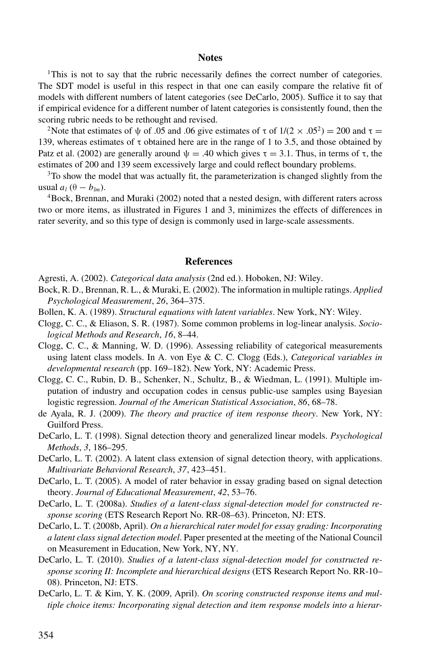#### **Notes**

<sup>1</sup>This is not to say that the rubric necessarily defines the correct number of categories. The SDT model is useful in this respect in that one can easily compare the relative fit of models with different numbers of latent categories (see DeCarlo, 2005). Suffice it to say that if empirical evidence for a different number of latent categories is consistently found, then the scoring rubric needs to be rethought and revised.

<sup>2</sup>Note that estimates of  $\psi$  of .05 and .06 give estimates of  $\tau$  of  $1/(2 \times .05^2) = 200$  and  $\tau =$ 139, whereas estimates of τ obtained here are in the range of 1 to 3.5, and those obtained by Patz et al. (2002) are generally around  $\psi = .40$  which gives  $\tau = 3.1$ . Thus, in terms of  $\tau$ , the estimates of 200 and 139 seem excessively large and could reflect boundary problems.

<sup>3</sup>To show the model that was actually fit, the parameterization is changed slightly from the usual  $a_l$  ( $\theta - b_{lm}$ ).

4Bock, Brennan, and Muraki (2002) noted that a nested design, with different raters across two or more items, as illustrated in Figures 1 and 3, minimizes the effects of differences in rater severity, and so this type of design is commonly used in large-scale assessments.

#### **References**

Agresti, A. (2002). *Categorical data analysis* (2nd ed.). Hoboken, NJ: Wiley.

- Bock, R. D., Brennan, R. L., & Muraki, E. (2002). The information in multiple ratings. *Applied Psychological Measurement*, *26*, 364–375.
- Bollen, K. A. (1989). *Structural equations with latent variables*. New York, NY: Wiley.
- Clogg, C. C., & Eliason, S. R. (1987). Some common problems in log-linear analysis. *Sociological Methods and Research*, *16*, 8–44.
- Clogg, C. C., & Manning, W. D. (1996). Assessing reliability of categorical measurements using latent class models. In A. von Eye & C. C. Clogg (Eds.), *Categorical variables in developmental research* (pp. 169–182). New York, NY: Academic Press.
- Clogg, C. C., Rubin, D. B., Schenker, N., Schultz, B., & Wiedman, L. (1991). Multiple imputation of industry and occupation codes in census public-use samples using Bayesian logistic regression. *Journal of the American Statistical Association*, *86*, 68–78.
- de Ayala, R. J. (2009). *The theory and practice of item response theory*. New York, NY: Guilford Press.
- DeCarlo, L. T. (1998). Signal detection theory and generalized linear models. *Psychological Methods*, *3*, 186–295.
- DeCarlo, L. T. (2002). A latent class extension of signal detection theory, with applications. *Multivariate Behavioral Research*, *37*, 423–451.
- DeCarlo, L. T. (2005). A model of rater behavior in essay grading based on signal detection theory. *Journal of Educational Measurement*, *42*, 53–76.
- DeCarlo, L. T. (2008a). *Studies of a latent-class signal-detection model for constructed response scoring* (ETS Research Report No. RR-08–63). Princeton, NJ: ETS.
- DeCarlo, L. T. (2008b, April). *On a hierarchical rater model for essay grading: Incorporating a latent class signal detection model*. Paper presented at the meeting of the National Council on Measurement in Education, New York, NY, NY.
- DeCarlo, L. T. (2010). *Studies of a latent-class signal-detection model for constructed response scoring II: Incomplete and hierarchical designs* (ETS Research Report No. RR-10– 08). Princeton, NJ: ETS.
- DeCarlo, L. T. & Kim, Y. K. (2009, April). *On scoring constructed response items and multiple choice items: Incorporating signal detection and item response models into a hierar-*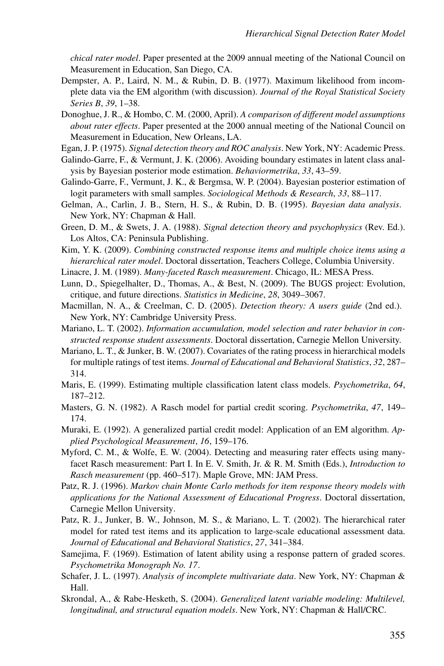*chical rater model*. Paper presented at the 2009 annual meeting of the National Council on Measurement in Education, San Diego, CA.

- Dempster, A. P., Laird, N. M., & Rubin, D. B. (1977). Maximum likelihood from incomplete data via the EM algorithm (with discussion). *Journal of the Royal Statistical Society Series B*, *39*, 1–38.
- Donoghue, J. R., & Hombo, C. M. (2000, April). *A comparison of different model assumptions about rater effects*. Paper presented at the 2000 annual meeting of the National Council on Measurement in Education, New Orleans, LA.
- Egan, J. P. (1975). *Signal detection theory and ROC analysis*. New York, NY: Academic Press.
- Galindo-Garre, F., & Vermunt, J. K. (2006). Avoiding boundary estimates in latent class analysis by Bayesian posterior mode estimation. *Behaviormetrika*, *33*, 43–59.
- Galindo-Garre, F., Vermunt, J. K., & Bergmsa, W. P. (2004). Bayesian posterior estimation of logit parameters with small samples. *Sociological Methods & Research*, *33*, 88–117.
- Gelman, A., Carlin, J. B., Stern, H. S., & Rubin, D. B. (1995). *Bayesian data analysis*. New York, NY: Chapman & Hall.
- Green, D. M., & Swets, J. A. (1988). *Signal detection theory and psychophysics* (Rev. Ed.). Los Altos, CA: Peninsula Publishing.
- Kim, Y. K. (2009). *Combining constructed response items and multiple choice items using a hierarchical rater model*. Doctoral dissertation, Teachers College, Columbia University.
- Linacre, J. M. (1989). *Many-faceted Rasch measurement*. Chicago, IL: MESA Press.
- Lunn, D., Spiegelhalter, D., Thomas, A., & Best, N. (2009). The BUGS project: Evolution, critique, and future directions. *Statistics in Medicine*, *28*, 3049–3067.
- Macmillan, N. A., & Creelman, C. D. (2005). *Detection theory: A users guide* (2nd ed.). New York, NY: Cambridge University Press.
- Mariano, L. T. (2002). *Information accumulation, model selection and rater behavior in constructed response student assessments*. Doctoral dissertation, Carnegie Mellon University.
- Mariano, L. T., & Junker, B. W. (2007). Covariates of the rating process in hierarchical models for multiple ratings of test items. *Journal of Educational and Behavioral Statistics*, *32*, 287– 314.
- Maris, E. (1999). Estimating multiple classification latent class models. *Psychometrika*, *64*, 187–212.
- Masters, G. N. (1982). A Rasch model for partial credit scoring. *Psychometrika*, *47*, 149– 174.
- Muraki, E. (1992). A generalized partial credit model: Application of an EM algorithm. *Applied Psychological Measurement*, *16*, 159–176.
- Myford, C. M., & Wolfe, E. W. (2004). Detecting and measuring rater effects using manyfacet Rasch measurement: Part I. In E. V. Smith, Jr. & R. M. Smith (Eds.), *Introduction to Rasch measurement* (pp. 460–517). Maple Grove, MN: JAM Press.
- Patz, R. J. (1996). *Markov chain Monte Carlo methods for item response theory models with applications for the National Assessment of Educational Progress*. Doctoral dissertation, Carnegie Mellon University.
- Patz, R. J., Junker, B. W., Johnson, M. S., & Mariano, L. T. (2002). The hierarchical rater model for rated test items and its application to large-scale educational assessment data. *Journal of Educational and Behavioral Statistics*, *27*, 341–384.
- Samejima, F. (1969). Estimation of latent ability using a response pattern of graded scores. *Psychometrika Monograph No. 17*.
- Schafer, J. L. (1997). *Analysis of incomplete multivariate data*. New York, NY: Chapman & Hall.
- Skrondal, A., & Rabe-Hesketh, S. (2004). *Generalized latent variable modeling: Multilevel, longitudinal, and structural equation models*. New York, NY: Chapman & Hall/CRC.